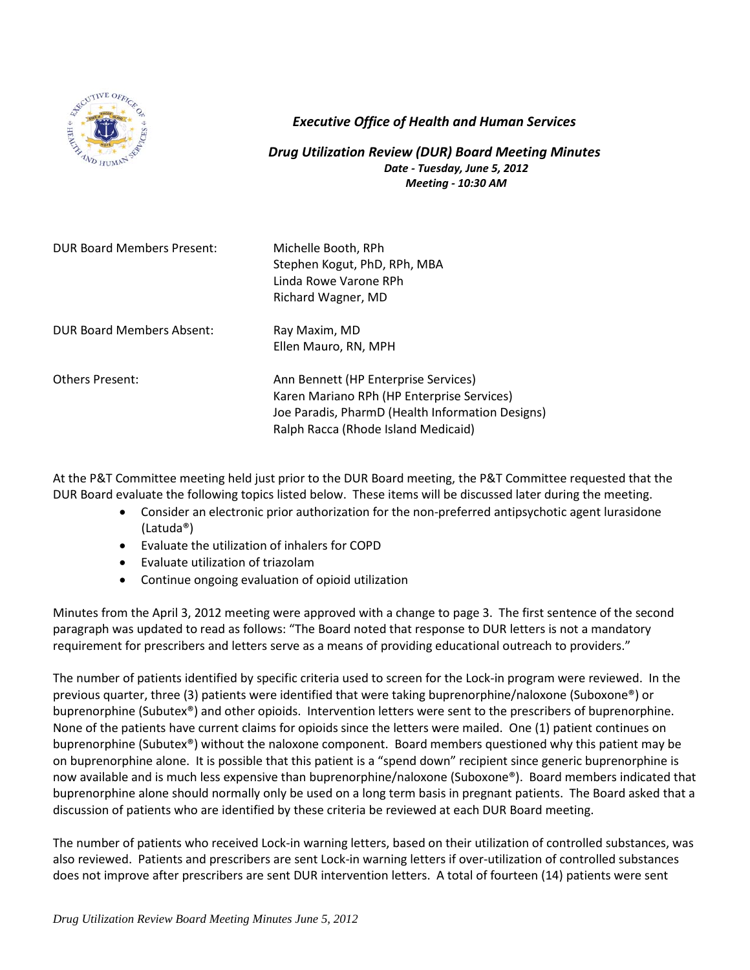

## *Executive Office of Health and Human Services*

*Drug Utilization Review (DUR) Board Meeting Minutes Date - Tuesday, June 5, 2012 Meeting - 10:30 AM*

| <b>DUR Board Members Present:</b> | Michelle Booth, RPh<br>Stephen Kogut, PhD, RPh, MBA<br>Linda Rowe Varone RPh<br>Richard Wagner, MD                                                                            |
|-----------------------------------|-------------------------------------------------------------------------------------------------------------------------------------------------------------------------------|
| DUR Board Members Absent:         | Ray Maxim, MD<br>Ellen Mauro, RN, MPH                                                                                                                                         |
| <b>Others Present:</b>            | Ann Bennett (HP Enterprise Services)<br>Karen Mariano RPh (HP Enterprise Services)<br>Joe Paradis, PharmD (Health Information Designs)<br>Ralph Racca (Rhode Island Medicaid) |

At the P&T Committee meeting held just prior to the DUR Board meeting, the P&T Committee requested that the DUR Board evaluate the following topics listed below. These items will be discussed later during the meeting.

- Consider an electronic prior authorization for the non-preferred antipsychotic agent lurasidone (Latuda®)
- Evaluate the utilization of inhalers for COPD
- Evaluate utilization of triazolam
- Continue ongoing evaluation of opioid utilization

Minutes from the April 3, 2012 meeting were approved with a change to page 3. The first sentence of the second paragraph was updated to read as follows: "The Board noted that response to DUR letters is not a mandatory requirement for prescribers and letters serve as a means of providing educational outreach to providers."

The number of patients identified by specific criteria used to screen for the Lock-in program were reviewed. In the previous quarter, three (3) patients were identified that were taking buprenorphine/naloxone (Suboxone®) or buprenorphine (Subutex®) and other opioids. Intervention letters were sent to the prescribers of buprenorphine. None of the patients have current claims for opioids since the letters were mailed. One (1) patient continues on buprenorphine (Subutex®) without the naloxone component. Board members questioned why this patient may be on buprenorphine alone. It is possible that this patient is a "spend down" recipient since generic buprenorphine is now available and is much less expensive than buprenorphine/naloxone (Suboxone®). Board members indicated that buprenorphine alone should normally only be used on a long term basis in pregnant patients. The Board asked that a discussion of patients who are identified by these criteria be reviewed at each DUR Board meeting.

The number of patients who received Lock-in warning letters, based on their utilization of controlled substances, was also reviewed. Patients and prescribers are sent Lock-in warning letters if over-utilization of controlled substances does not improve after prescribers are sent DUR intervention letters. A total of fourteen (14) patients were sent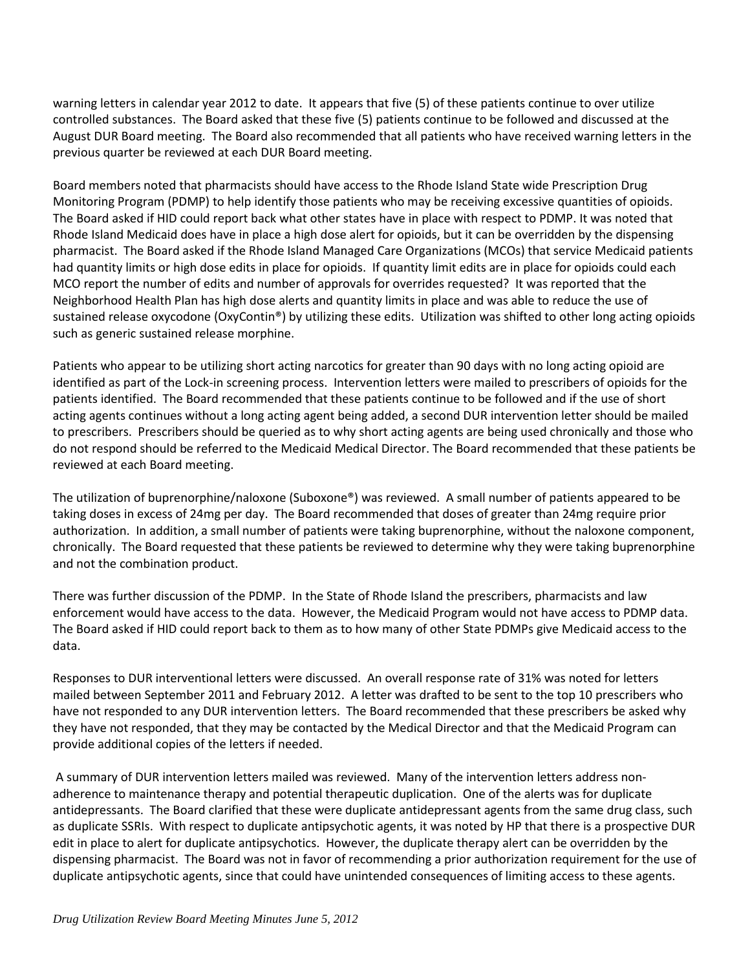warning letters in calendar year 2012 to date. It appears that five (5) of these patients continue to over utilize controlled substances. The Board asked that these five (5) patients continue to be followed and discussed at the August DUR Board meeting. The Board also recommended that all patients who have received warning letters in the previous quarter be reviewed at each DUR Board meeting.

Board members noted that pharmacists should have access to the Rhode Island State wide Prescription Drug Monitoring Program (PDMP) to help identify those patients who may be receiving excessive quantities of opioids. The Board asked if HID could report back what other states have in place with respect to PDMP. It was noted that Rhode Island Medicaid does have in place a high dose alert for opioids, but it can be overridden by the dispensing pharmacist. The Board asked if the Rhode Island Managed Care Organizations (MCOs) that service Medicaid patients had quantity limits or high dose edits in place for opioids. If quantity limit edits are in place for opioids could each MCO report the number of edits and number of approvals for overrides requested? It was reported that the Neighborhood Health Plan has high dose alerts and quantity limits in place and was able to reduce the use of sustained release oxycodone (OxyContin®) by utilizing these edits. Utilization was shifted to other long acting opioids such as generic sustained release morphine.

Patients who appear to be utilizing short acting narcotics for greater than 90 days with no long acting opioid are identified as part of the Lock-in screening process. Intervention letters were mailed to prescribers of opioids for the patients identified. The Board recommended that these patients continue to be followed and if the use of short acting agents continues without a long acting agent being added, a second DUR intervention letter should be mailed to prescribers. Prescribers should be queried as to why short acting agents are being used chronically and those who do not respond should be referred to the Medicaid Medical Director. The Board recommended that these patients be reviewed at each Board meeting.

The utilization of buprenorphine/naloxone (Suboxone®) was reviewed. A small number of patients appeared to be taking doses in excess of 24mg per day. The Board recommended that doses of greater than 24mg require prior authorization. In addition, a small number of patients were taking buprenorphine, without the naloxone component, chronically. The Board requested that these patients be reviewed to determine why they were taking buprenorphine and not the combination product.

There was further discussion of the PDMP. In the State of Rhode Island the prescribers, pharmacists and law enforcement would have access to the data. However, the Medicaid Program would not have access to PDMP data. The Board asked if HID could report back to them as to how many of other State PDMPs give Medicaid access to the data.

Responses to DUR interventional letters were discussed. An overall response rate of 31% was noted for letters mailed between September 2011 and February 2012. A letter was drafted to be sent to the top 10 prescribers who have not responded to any DUR intervention letters. The Board recommended that these prescribers be asked why they have not responded, that they may be contacted by the Medical Director and that the Medicaid Program can provide additional copies of the letters if needed.

A summary of DUR intervention letters mailed was reviewed. Many of the intervention letters address nonadherence to maintenance therapy and potential therapeutic duplication. One of the alerts was for duplicate antidepressants. The Board clarified that these were duplicate antidepressant agents from the same drug class, such as duplicate SSRIs. With respect to duplicate antipsychotic agents, it was noted by HP that there is a prospective DUR edit in place to alert for duplicate antipsychotics. However, the duplicate therapy alert can be overridden by the dispensing pharmacist. The Board was not in favor of recommending a prior authorization requirement for the use of duplicate antipsychotic agents, since that could have unintended consequences of limiting access to these agents.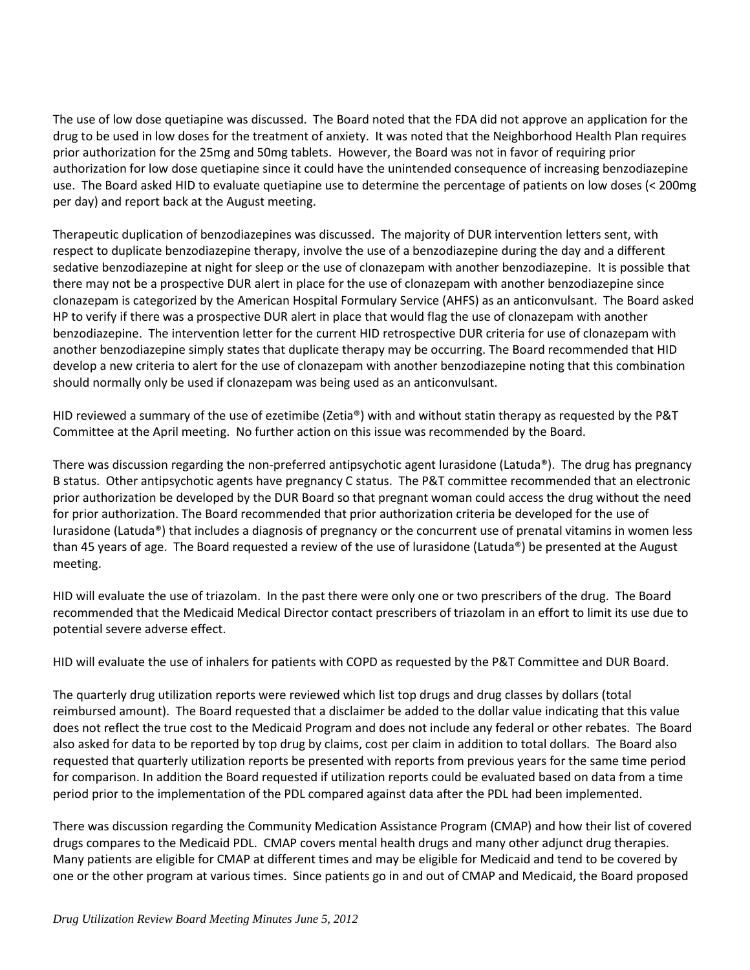The use of low dose quetiapine was discussed. The Board noted that the FDA did not approve an application for the drug to be used in low doses for the treatment of anxiety. It was noted that the Neighborhood Health Plan requires prior authorization for the 25mg and 50mg tablets. However, the Board was not in favor of requiring prior authorization for low dose quetiapine since it could have the unintended consequence of increasing benzodiazepine use. The Board asked HID to evaluate quetiapine use to determine the percentage of patients on low doses (< 200mg per day) and report back at the August meeting.

Therapeutic duplication of benzodiazepines was discussed. The majority of DUR intervention letters sent, with respect to duplicate benzodiazepine therapy, involve the use of a benzodiazepine during the day and a different sedative benzodiazepine at night for sleep or the use of clonazepam with another benzodiazepine. It is possible that there may not be a prospective DUR alert in place for the use of clonazepam with another benzodiazepine since clonazepam is categorized by the American Hospital Formulary Service (AHFS) as an anticonvulsant. The Board asked HP to verify if there was a prospective DUR alert in place that would flag the use of clonazepam with another benzodiazepine. The intervention letter for the current HID retrospective DUR criteria for use of clonazepam with another benzodiazepine simply states that duplicate therapy may be occurring. The Board recommended that HID develop a new criteria to alert for the use of clonazepam with another benzodiazepine noting that this combination should normally only be used if clonazepam was being used as an anticonvulsant.

HID reviewed a summary of the use of ezetimibe (Zetia®) with and without statin therapy as requested by the P&T Committee at the April meeting. No further action on this issue was recommended by the Board.

There was discussion regarding the non-preferred antipsychotic agent lurasidone (Latuda®). The drug has pregnancy B status. Other antipsychotic agents have pregnancy C status. The P&T committee recommended that an electronic prior authorization be developed by the DUR Board so that pregnant woman could access the drug without the need for prior authorization. The Board recommended that prior authorization criteria be developed for the use of lurasidone (Latuda®) that includes a diagnosis of pregnancy or the concurrent use of prenatal vitamins in women less than 45 years of age. The Board requested a review of the use of lurasidone (Latuda®) be presented at the August meeting.

HID will evaluate the use of triazolam. In the past there were only one or two prescribers of the drug. The Board recommended that the Medicaid Medical Director contact prescribers of triazolam in an effort to limit its use due to potential severe adverse effect.

HID will evaluate the use of inhalers for patients with COPD as requested by the P&T Committee and DUR Board.

The quarterly drug utilization reports were reviewed which list top drugs and drug classes by dollars (total reimbursed amount). The Board requested that a disclaimer be added to the dollar value indicating that this value does not reflect the true cost to the Medicaid Program and does not include any federal or other rebates. The Board also asked for data to be reported by top drug by claims, cost per claim in addition to total dollars. The Board also requested that quarterly utilization reports be presented with reports from previous years for the same time period for comparison. In addition the Board requested if utilization reports could be evaluated based on data from a time period prior to the implementation of the PDL compared against data after the PDL had been implemented.

There was discussion regarding the Community Medication Assistance Program (CMAP) and how their list of covered drugs compares to the Medicaid PDL. CMAP covers mental health drugs and many other adjunct drug therapies. Many patients are eligible for CMAP at different times and may be eligible for Medicaid and tend to be covered by one or the other program at various times. Since patients go in and out of CMAP and Medicaid, the Board proposed